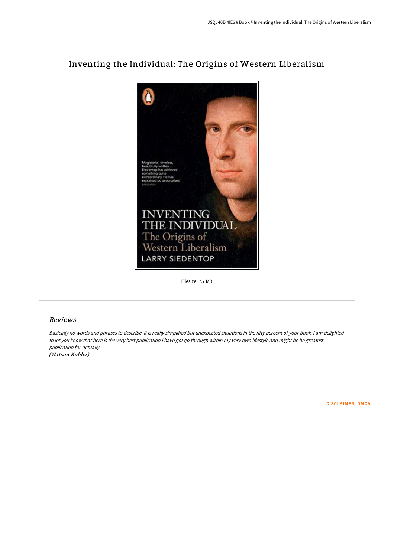

## Inventing the Individual: The Origins of Western Liberalism

Filesize: 7.7 MB

## Reviews

Basically no words and phrases to describe. It is really simplified but unexpected situations in the fifty percent of your book. <sup>I</sup> am delighted to let you know that here is the very best publication i have got go through within my very own lifestyle and might be he greatest publication for actually. (Watson Kohler)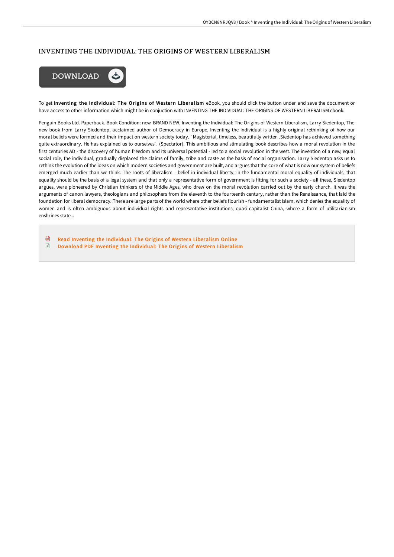## INVENTING THE INDIVIDUAL: THE ORIGINS OF WESTERN LIBERALISM



To get Inventing the Individual: The Origins of Western Liberalism eBook, you should click the button under and save the document or have access to other information which might be in conjuction with INVENTING THE INDIVIDUAL: THE ORIGINS OF WESTERN LIBERALISM ebook.

Penguin Books Ltd. Paperback. Book Condition: new. BRAND NEW, Inventing the Individual: The Origins of Western Liberalism, Larry Siedentop, The new book from Larry Siedentop, acclaimed author of Democracy in Europe, Inventing the Individual is a highly original rethinking of how our moral beliefs were formed and their impact on western society today. "Magisterial, timeless, beautifully written .Siedentop has achieved something quite extraordinary. He has explained us to ourselves". (Spectator). This ambitious and stimulating book describes how a moral revolution in the first centuries AD - the discovery of human freedom and its universal potential - led to a social revolution in the west. The invention of a new, equal social role, the individual, gradually displaced the claims of family, tribe and caste as the basis of social organisation. Larry Siedentop asks us to rethink the evolution of the ideas on which modern societies and government are built, and argues that the core of what is now our system of beliefs emerged much earlier than we think. The roots of liberalism - belief in individual liberty, in the fundamental moral equality of individuals, that equality should be the basis of a legal system and that only a representative form of government is fitting for such a society - all these, Siedentop argues, were pioneered by Christian thinkers of the Middle Ages, who drew on the moral revolution carried out by the early church. It was the arguments of canon lawyers, theologians and philosophers from the eleventh to the fourteenth century, rather than the Renaissance, that laid the foundation for liberal democracy. There are large parts of the world where other beliefs flourish - fundamentalist Islam, which denies the equality of women and is often ambiguous about individual rights and representative institutions; quasi-capitalist China, where a form of utilitarianism enshrines state...

品 Read Inventing the [Individual:](http://techno-pub.tech/inventing-the-individual-the-origins-of-western-.html) The Origins of Western Liberalism Online  $\mathbf{F}$ Download PDF Inventing the [Individual:](http://techno-pub.tech/inventing-the-individual-the-origins-of-western-.html) The Origins of Western Liberalism